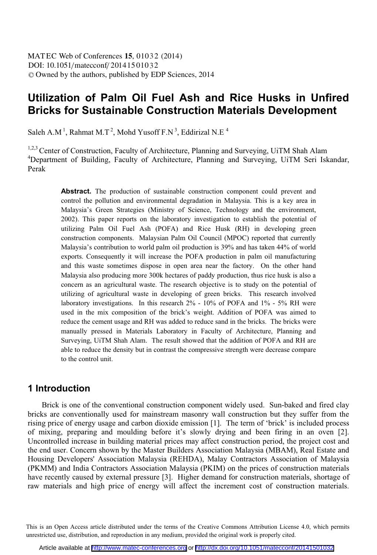# **Utilization of Palm Oil Fuel Ash and Rice Husks in Unfired Bricks for Sustainable Construction Materials Development**

Saleh A.M<sup>1</sup>, Rahmat M.T<sup>2</sup>, Mohd Yusoff  $FN^3$ , Eddirizal N.E<sup>4</sup>

1,2,3 Center of Construction, Faculty of Architecture, Planning and Surveying, UiTM Shah Alam <sup>4</sup>Department of Building, Faculty of Architecture, Planning and Surveying, UiTM Seri Iskandar, Perak

> Abstract. The production of sustainable construction component could prevent and control the pollution and environmental degradation in Malaysia. This is a key area in Malaysia's Green Strategies (Ministry of Science, Technology and the environment, 2002). This paper reports on the laboratory investigation to establish the potential of utilizing Palm Oil Fuel Ash (POFA) and Rice Husk (RH) in developing green construction components. Malaysian Palm Oil Council (MPOC) reported that currently Malaysia's contribution to world palm oil production is 39% and has taken 44% of world exports. Consequently it will increase the POFA production in palm oil manufacturing and this waste sometimes dispose in open area near the factory. On the other hand Malaysia also producing more 300k hectares of paddy production, thus rice husk is also a concern as an agricultural waste. The research objective is to study on the potential of utilizing of agricultural waste in developing of green bricks. This research involved laboratory investigations. In this research 2% - 10% of POFA and 1% - 5% RH were used in the mix composition of the brick's weight. Addition of POFA was aimed to reduce the cement usage and RH was added to reduce sand in the bricks. The bricks were manually pressed in Materials Laboratory in Faculty of Architecture, Planning and Surveying, UiTM Shah Alam. The result showed that the addition of POFA and RH are able to reduce the density but in contrast the compressive strength were decrease compare to the control unit.

## **1 Introduction**

Brick is one of the conventional construction component widely used. Sun-baked and fired clay bricks are conventionally used for mainstream masonry wall construction but they suffer from the rising price of energy usage and carbon dioxide emission [1]. The term of 'brick' is included process of mixing, preparing and moulding before it's slowly drying and been firing in an oven [2]. Uncontrolled increase in building material prices may affect construction period, the project cost and the end user. Concern shown by the Master Builders Association Malaysia (MBAM), Real Estate and Housing Developers' Association Malaysia (REHDA), Malay Contractors Association of Malaysia (PKMM) and India Contractors Association Malaysia (PKIM) on the prices of construction materials have recently caused by external pressure [3]. Higher demand for construction materials, shortage of raw materials and high price of energy will affect the increment cost of construction materials.

This is an Open Access article distributed under the terms of the Creative Commons Attribution License 4.0, which permits unrestricted use, distribution, and reproduction in any medium, provided the original work is properly cited.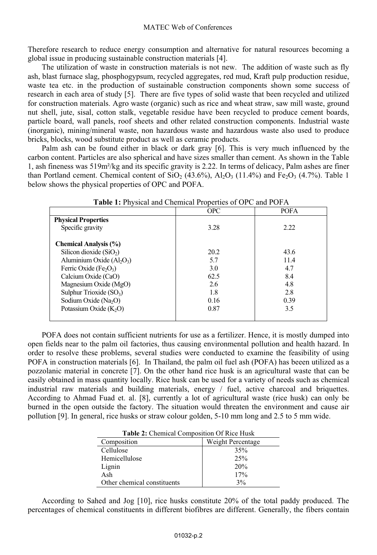Therefore research to reduce energy consumption and alternative for natural resources becoming a global issue in producing sustainable construction materials [4].

The utilization of waste in construction materials is not new. The addition of waste such as fly ash, blast furnace slag, phosphogypsum, recycled aggregates, red mud, Kraft pulp production residue, waste tea etc. in the production of sustainable construction components shown some success of research in each area of study [5]. There are five types of solid waste that been recycled and utilized for construction materials. Agro waste (organic) such as rice and wheat straw, saw mill waste, ground nut shell, jute, sisal, cotton stalk, vegetable residue have been recycled to produce cement boards, particle board, wall panels, roof sheets and other related construction components. Industrial waste (inorganic), mining/mineral waste, non hazardous waste and hazardous waste also used to produce bricks, blocks, wood substitute product as well as ceramic products.

Palm ash can be found either in black or dark gray [6]. This is very much influenced by the carbon content. Particles are also spherical and have sizes smaller than cement. As shown in the Table 1, ash fineness was 519m²/kg and its specific gravity is 2.22. In terms of delicacy, Palm ashes are finer than Portland cement. Chemical content of  $SiO<sub>2</sub>$  (43.6%),  $Al<sub>2</sub>O<sub>3</sub>$  (11.4%) and Fe<sub>2</sub>O<sub>3</sub> (4.7%). Table 1 below shows the physical properties of OPC and POFA.

|                                                | <b>OPC</b> | <b>POFA</b> |
|------------------------------------------------|------------|-------------|
| <b>Physical Properties</b>                     |            |             |
| Specific gravity                               | 3.28       | 2.22        |
| <b>Chemical Analysis (%)</b>                   |            |             |
| Silicon dioxide $(SiO2)$                       | 20.2       | 43.6        |
| Aluminium Oxide $(Al2O3)$                      | 5.7        | 11.4        |
| Ferric Oxide (Fe <sub>2</sub> O <sub>3</sub> ) | 3.0        | 4.7         |
| Calcium Oxide (CaO)                            | 62.5       | 8.4         |
| Magnesium Oxide (MgO)                          | 2.6        | 4.8         |
| Sulphur Trioxide $(SO_3)$                      | 1.8        | 2.8         |
| Sodium Oxide ( $Na2O$ )                        | 0.16       | 0.39        |
| Potassium Oxide $(K2O)$                        | 0.87       | 3.5         |
|                                                |            |             |

**Table 1:** Physical and Chemical Properties of OPC and POFA

POFA does not contain sufficient nutrients for use as a fertilizer. Hence, it is mostly dumped into open fields near to the palm oil factories, thus causing environmental pollution and health hazard. In order to resolve these problems, several studies were conducted to examine the feasibility of using POFA in construction materials [6]. In Thailand, the palm oil fuel ash (POFA) has beeen utilized as a pozzolanic material in concrete [7]. On the other hand rice husk is an agricultural waste that can be easily obtained in mass quantity locally. Rice husk can be used for a variety of needs such as chemical industrial raw materials and building materials, energy / fuel, active charcoal and briquettes. According to Ahmad Fuad et. al. [8], currently a lot of agricultural waste (rice husk) can only be burned in the open outside the factory. The situation would threaten the environment and cause air pollution [9]. In general, rice husks or straw colour golden, 5-10 mm long and 2.5 to 5 mm wide.

**Table 2:** Chemical Composition Of Rice Husk

| Composition                 | Weight Percentage |
|-----------------------------|-------------------|
| Cellulose                   | 35%               |
| Hemicellulose               | 25%               |
| Lignin                      | 20%               |
| Ash                         | 17%               |
| Other chemical constituents | 3%                |

According to Sahed and Jog [10], rice husks constitute 20% of the total paddy produced. The percentages of chemical constituents in different biofibres are different. Generally, the fibers contain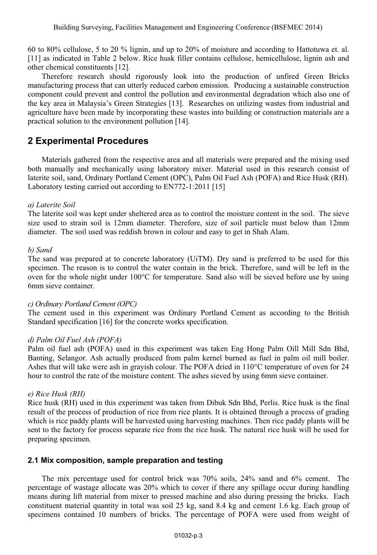60 to 80% cellulose, 5 to 20 % lignin, and up to 20% of moisture and according to Hattotuwa et. al. [11] as indicated in Table 2 below. Rice husk filler contains cellulose, hemicellulose, lignin ash and other chemical constituents [12].

Therefore research should rigorously look into the production of unfired Green Bricks manufacturing process that can utterly reduced carbon emission. Producing a sustainable construction component could prevent and control the pollution and environmental degradation which also one of the key area in Malaysia's Green Strategies [13]. Researches on utilizing wastes from industrial and agriculture have been made by incorporating these wastes into building or construction materials are a practical solution to the environment pollution [14].

# **2 Experimental Procedures**

Materials gathered from the respective area and all materials were prepared and the mixing used both manually and mechanically using laboratory mixer. Material used in this research consist of laterite soil, sand, Ordinary Portland Cement (OPC), Palm Oil Fuel Ash (POFA) and Rice Husk (RH). Laboratory testing carried out according to EN772-1:2011 [15]

### *a) Laterite Soil*

The laterite soil was kept under sheltered area as to control the moisture content in the soil. The sieve size used to strain soil is 12mm diameter. Therefore, size of soil particle must below than 12mm diameter. The soil used was reddish brown in colour and easy to get in Shah Alam.

### *b) Sand*

The sand was prepared at to concrete laboratory (UiTM). Dry sand is preferred to be used for this specimen. The reason is to control the water contain in the brick. Therefore, sand will be left in the oven for the whole night under 100°C for temperature. Sand also will be sieved before use by using 6mm sieve container.

#### *c) Ordinary Portland Cement (OPC)*

The cement used in this experiment was Ordinary Portland Cement as according to the British Standard specification [16] for the concrete works specification.

#### *d) Palm Oil Fuel Ash (POFA)*

Palm oil fuel ash (POFA) used in this experiment was taken Eng Hong Palm Oill Mill Sdn Bhd, Banting, Selangor. Ash actually produced from palm kernel burned as fuel in palm oil mill boiler. Ashes that will take were ash in grayish colour. The POFA dried in 110°C temperature of oven for 24 hour to control the rate of the moisture content. The ashes sieved by using 6mm sieve container.

#### *e) Rice Husk (RH)*

Rice husk (RH) used in this experiment was taken from Dibuk Sdn Bhd, Perlis. Rice husk is the final result of the process of production of rice from rice plants. It is obtained through a process of grading which is rice paddy plants will be harvested using harvesting machines. Then rice paddy plants will be sent to the factory for process separate rice from the rice husk. The natural rice husk will be used for preparing specimen.

## **2.1 Mix composition, sample preparation and testing**

The mix percentage used for control brick was 70% soils, 24% sand and 6% cement. The percentage of wastage allocate was 20% which to cover if there any spillage occur during handling means during lift material from mixer to pressed machine and also during pressing the bricks. Each constituent material quantity in total was soil 25 kg, sand 8.4 kg and cement 1.6 kg. Each group of specimens contained 10 numbers of bricks. The percentage of POFA were used from weight of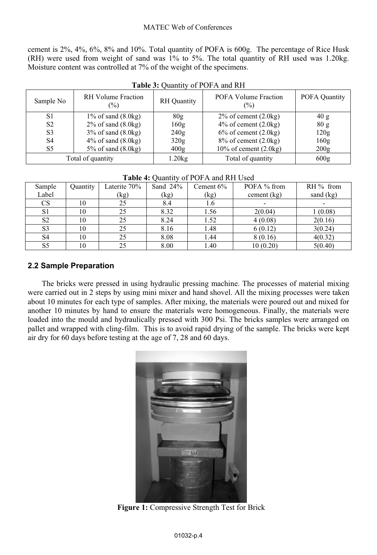cement is 2%, 4%, 6%, 8% and 10%. Total quantity of POFA is 600g. The percentage of Rice Husk (RH) were used from weight of sand was 1% to 5%. The total quantity of RH used was 1.20kg. Moisture content was controlled at 7% of the weight of the specimens.

| Sample No      | <b>RH</b> Volume Fraction<br>$(\%)$ | <b>RH</b> Quantity | POFA Volume Fraction<br>(%)        | <b>POFA Quantity</b> |
|----------------|-------------------------------------|--------------------|------------------------------------|----------------------|
| S1             | $1\%$ of sand $(8.0 \text{kg})$     | 80g                | $2\%$ of cement $(2.0 \text{kg})$  | 40 g                 |
| S <sub>2</sub> | $2\%$ of sand $(8.0 \text{kg})$     | 160g               | $4\%$ of cement $(2.0 \text{kg})$  | 80g                  |
| S <sub>3</sub> | $3\%$ of sand $(8.0\text{kg})$      | 240g               | $6\%$ of cement $(2.0 \text{kg})$  | 120g                 |
| S <sub>4</sub> | $4\%$ of sand $(8.0 \text{kg})$     | 320g               | $8\%$ of cement $(2.0\text{kg})$   | 160g                 |
| S5             | $5\%$ of sand $(8.0 \text{kg})$     | 400 <sub>g</sub>   | $10\%$ of cement $(2.0 \text{kg})$ | 200g                 |
|                | Total of quantity                   | 1.20kg             | Total of quantity                  | 600g                 |

### **Table 3:** Quantity of POFA and RH

| <b>Table 4.</b> Ouallitty of T OF A and NIT OSCU |          |              |             |              |               |             |  |
|--------------------------------------------------|----------|--------------|-------------|--------------|---------------|-------------|--|
| Sample                                           | Quantity | Laterite 70% | Sand $24\%$ | Cement $6\%$ | POFA % from   | $RH\%$ from |  |
| Label                                            |          | (kg)         | (kg)        | (kg)         | cement $(kg)$ | sand (kg)   |  |
| CS.                                              | 10       | 25           | 8.4         | 1.6          |               |             |  |
| S <sub>1</sub>                                   | 10       | 25           | 8.32        | 1.56         | 2(0.04)       | 1(0.08)     |  |
| S <sub>2</sub>                                   | 10       | 25           | 8.24        | 1.52         | 4(0.08)       | 2(0.16)     |  |
| S <sub>3</sub>                                   | 10       | 25           | 8.16        | 1.48         | 6(0.12)       | 3(0.24)     |  |
| S <sub>4</sub>                                   | 10       | 25           | 8.08        | 1.44         | 8(0.16)       | 4(0.32)     |  |
| S <sub>5</sub>                                   | 10       | 25           | 8.00        | 1.40         | 10(0.20)      | 5(0.40)     |  |

## **Table 4:** Quantity of POFA and RH Used

## **2.2 Sample Preparation**

The bricks were pressed in using hydraulic pressing machine. The processes of material mixing were carried out in 2 steps by using mini mixer and hand shovel. All the mixing processes were taken about 10 minutes for each type of samples. After mixing, the materials were poured out and mixed for another 10 minutes by hand to ensure the materials were homogeneous. Finally, the materials were loaded into the mould and hydraulically pressed with 300 Psi. The bricks samples were arranged on pallet and wrapped with cling-film. This is to avoid rapid drying of the sample. The bricks were kept air dry for 60 days before testing at the age of 7, 28 and 60 days.



**Figure 1:** Compressive Strength Test for Brick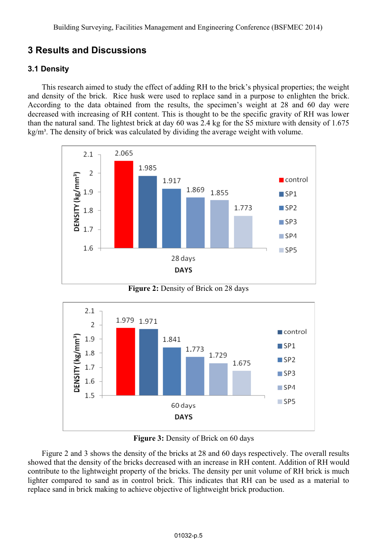# **3 Results and Discussions**

## **3.1 Density**

This research aimed to study the effect of adding RH to the brick's physical properties; the weight and density of the brick. Rice husk were used to replace sand in a purpose to enlighten the brick. According to the data obtained from the results, the specimen's weight at 28 and 60 day were decreased with increasing of RH content. This is thought to be the specific gravity of RH was lower than the natural sand. The lightest brick at day 60 was 2.4 kg for the S5 mixture with density of 1.675  $kg/m<sup>3</sup>$ . The density of brick was calculated by dividing the average weight with volume.





**Figure 3:** Density of Brick on 60 days

Figure 2 and 3 shows the density of the bricks at 28 and 60 days respectively. The overall results showed that the density of the bricks decreased with an increase in RH content. Addition of RH would contribute to the lightweight property of the bricks. The density per unit volume of RH brick is much lighter compared to sand as in control brick. This indicates that RH can be used as a material to replace sand in brick making to achieve objective of lightweight brick production.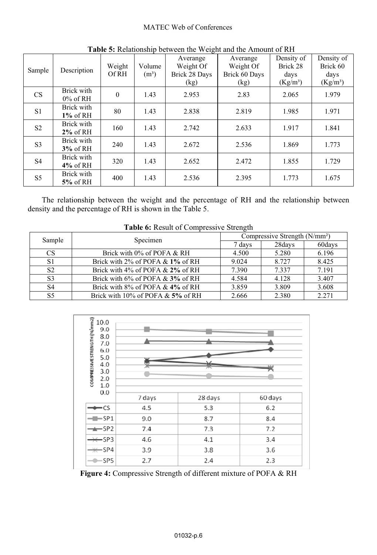#### MATEC Web of Conferences

| Sample         | Description               | Weight<br>Of RH | Volume<br>$(m^3)$ | Averange<br>Weight Of<br>Brick 28 Days<br>(kg) | Averange<br>Weight Of<br>Brick 60 Days<br>(kg) | Density of<br>Brick 28<br>days<br>$(Kg/m^3)$ | Density of<br>Brick 60<br>days<br>(Kg/m <sup>3</sup> ) |
|----------------|---------------------------|-----------------|-------------------|------------------------------------------------|------------------------------------------------|----------------------------------------------|--------------------------------------------------------|
| CS             | Brick with<br>$0\%$ of RH | $\mathbf{0}$    | 1.43              | 2.953                                          | 2.83                                           | 2.065                                        | 1.979                                                  |
| S <sub>1</sub> | Brick with<br>$1\%$ of RH | 80              | 1.43              | 2.838                                          | 2.819                                          | 1.985                                        | 1.971                                                  |
| S <sub>2</sub> | Brick with<br>$2\%$ of RH | 160             | 1.43              | 2.742                                          | 2.633                                          | 1.917                                        | 1.841                                                  |
| S <sub>3</sub> | Brick with<br>$3\%$ of RH | 240             | 1.43              | 2.672                                          | 2.536                                          | 1.869                                        | 1.773                                                  |
| S <sub>4</sub> | Brick with<br>$4\%$ of RH | 320             | 1.43              | 2.652                                          | 2.472                                          | 1.855                                        | 1.729                                                  |
| S <sub>5</sub> | Brick with<br>$5\%$ of RH | 400             | 1.43              | 2.536                                          | 2.395                                          | 1.773                                        | 1.675                                                  |

**Table 5:** Relationship between the Weight and the Amount of RH

The relationship between the weight and the percentage of RH and the relationship between density and the percentage of RH is shown in the Table 5.

| Sample<br>Specimen |                                        | Compressive Strength $(N/mm2)$ |        |       |  |
|--------------------|----------------------------------------|--------------------------------|--------|-------|--|
|                    | 7 days                                 | 28days                         | 60days |       |  |
| <b>CS</b>          | Brick with 0% of POFA & RH             | 4.500                          | 5.280  | 6.196 |  |
| S1                 | Brick with $2\%$ of POFA & $1\%$ of RH | 9.024                          | 8.727  | 8.425 |  |
| S <sub>2</sub>     | Brick with $4\%$ of POFA & $2\%$ of RH | 7.390                          | 7.337  | 7.191 |  |
| S <sub>3</sub>     | Brick with $6\%$ of POFA & $3\%$ of RH | 4.584                          | 4.128  | 3.407 |  |
| S4                 | Brick with $8\%$ of POFA & $4\%$ of RH | 3.859                          | 3.809  | 3.608 |  |
| S5                 | Brick with $10\%$ of POFA & 5% of RH   | 2.666                          | 2.380  | 2.271 |  |

**Table 6:** Result of Compressive Strength



**Figure 4:** Compressive Strength of different mixture of POFA & RH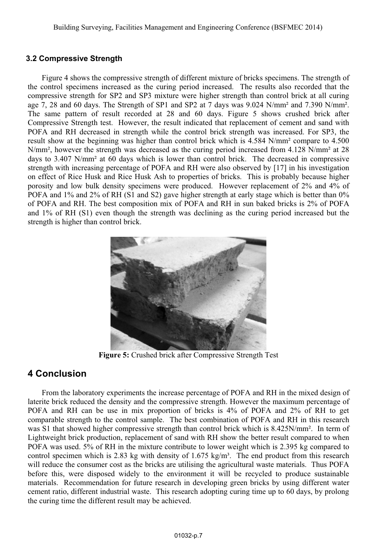## **3.2 Compressive Strength**

Figure 4 shows the compressive strength of different mixture of bricks specimens. The strength of the control specimens increased as the curing period increased. The results also recorded that the compressive strength for SP2 and SP3 mixture were higher strength than control brick at all curing age 7, 28 and 60 days. The Strength of SP1 and SP2 at 7 days was 9.024 N/mm² and 7.390 N/mm². The same pattern of result recorded at 28 and 60 days. Figure 5 shows crushed brick after Compressive Strength test. However, the result indicated that replacement of cement and sand with POFA and RH decreased in strength while the control brick strength was increased. For SP3, the result show at the beginning was higher than control brick which is 4.584 N/mm² compare to 4.500 N/mm<sup>2</sup>, however the strength was decreased as the curing period increased from 4.128 N/mm<sup>2</sup> at 28 days to 3.407 N/mm² at 60 days which is lower than control brick. The decreased in compressive strength with increasing percentage of POFA and RH were also observed by [17] in his investigation on effect of Rice Husk and Rice Husk Ash to properties of bricks. This is probably because higher porosity and low bulk density specimens were produced. However replacement of 2% and 4% of POFA and 1% and 2% of RH (S1 and S2) gave higher strength at early stage which is better than 0% of POFA and RH. The best composition mix of POFA and RH in sun baked bricks is 2% of POFA and 1% of RH (S1) even though the strength was declining as the curing period increased but the strength is higher than control brick.



**Figure 5:** Crushed brick after Compressive Strength Test

## **4 Conclusion**

From the laboratory experiments the increase percentage of POFA and RH in the mixed design of laterite brick reduced the density and the compressive strength. However the maximum percentage of POFA and RH can be use in mix proportion of bricks is 4% of POFA and 2% of RH to get comparable strength to the control sample. The best combination of POFA and RH in this research was S1 that showed higher compressive strength than control brick which is 8.425N/mm<sup>2</sup>. In term of Lightweight brick production, replacement of sand with RH show the better result compared to when POFA was used. 5% of RH in the mixture contribute to lower weight which is 2.395 kg compared to control specimen which is 2.83 kg with density of 1.675 kg/m<sup>3</sup>. The end product from this research will reduce the consumer cost as the bricks are utilising the agricultural waste materials. Thus POFA before this, were disposed widely to the environment it will be recycled to produce sustainable materials. Recommendation for future research in developing green bricks by using different water cement ratio, different industrial waste. This research adopting curing time up to 60 days, by prolong the curing time the different result may be achieved.